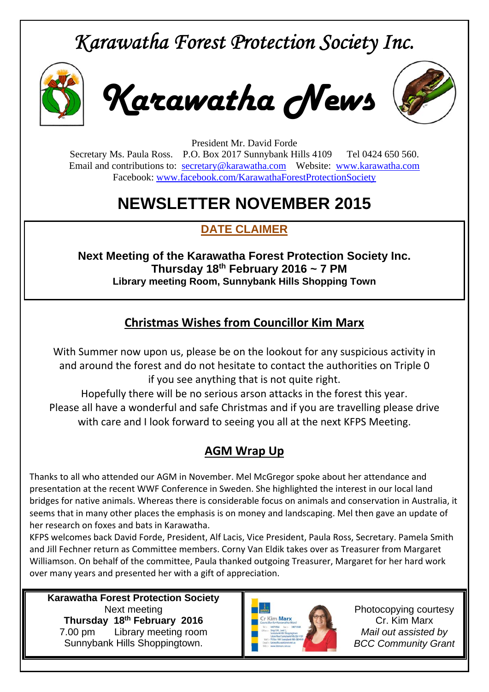# *Karawatha Forest Protection Society Inc.*



*Karawatha News*



President Mr. David Forde Secretary Ms. Paula Ross. P.O. Box 2017 Sunnybank Hills 4109 Tel 0424 650 560. Email and contributions to: secretary@karawatha.com Website: www.karawatha.com Facebook: www.facebook.com/KarawathaForestProtectionSociety

## **NEWSLETTER NOVEMBER 2015**

### **DATE CLAIMER**

**Next Meeting of the Karawatha Forest Protection Society Inc. Thursday 18th February 2016 ~ 7 PM Library meeting Room, Sunnybank Hills Shopping Town** 

#### **Christmas Wishes from Councillor Kim Marx**

With Summer now upon us, please be on the lookout for any suspicious activity in and around the forest and do not hesitate to contact the authorities on Triple 0 if you see anything that is not quite right.

Hopefully there will be no serious arson attacks in the forest this year. Please all have a wonderful and safe Christmas and if you are travelling please drive with care and I look forward to seeing you all at the next KFPS Meeting.

#### **AGM Wrap Up**

Thanks to all who attended our AGM in November. Mel McGregor spoke about her attendance and presentation at the recent WWF Conference in Sweden. She highlighted the interest in our local land bridges for native animals. Whereas there is considerable focus on animals and conservation in Australia, it seems that in many other places the emphasis is on money and landscaping. Mel then gave an update of her research on foxes and bats in Karawatha.

KFPS welcomes back David Forde, President, Alf Lacis, Vice President, Paula Ross, Secretary. Pamela Smith and Jill Fechner return as Committee members. Corny Van Eldik takes over as Treasurer from Margaret Williamson. On behalf of the committee, Paula thanked outgoing Treasurer, Margaret for her hard work over many years and presented her with a gift of appreciation.

**Karawatha Forest Protection Society**  Next meeting **Thursday 18th February 2016**  7.00 pm Library meeting room Sunnybank Hills Shoppingtown.



Photocopying courtesy Cr. Kim Marx *Mail out assisted by BCC Community Grant*